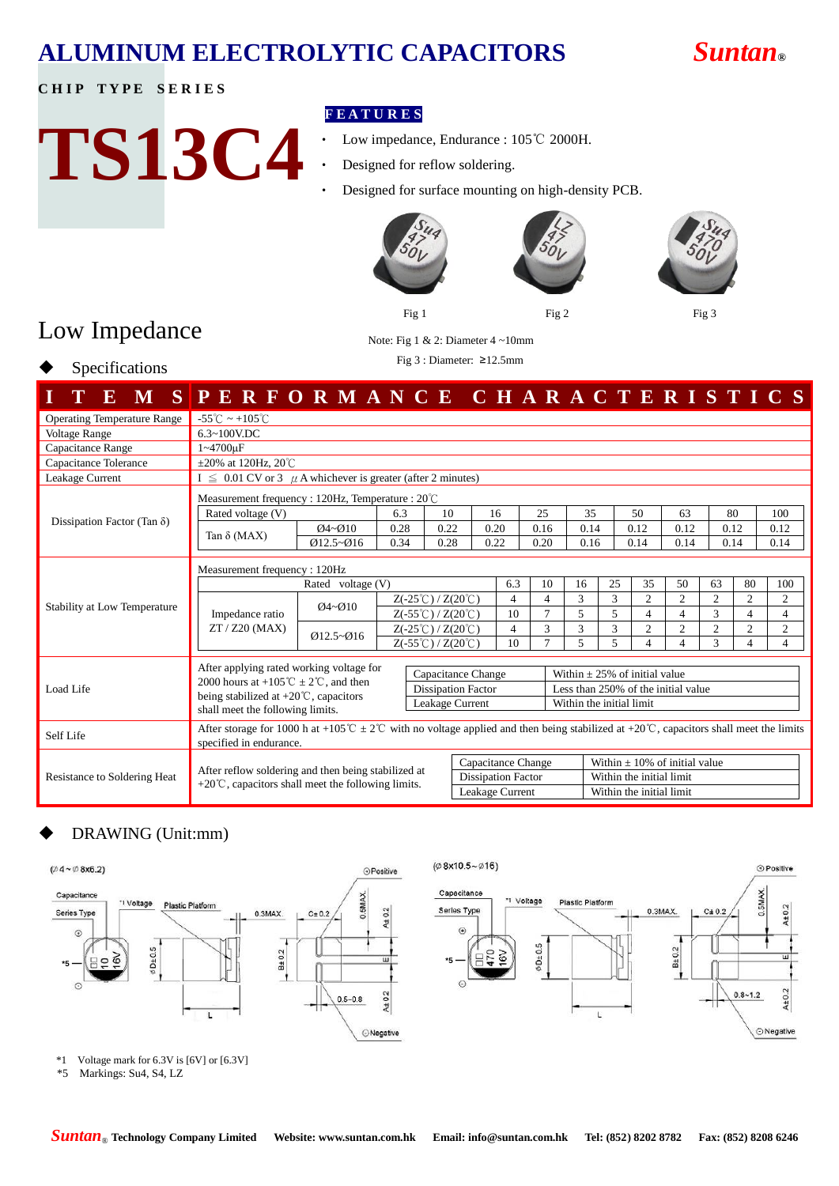### **CHIP TYPE SERIES**

# **TS13C4**

## **F E A T U R E S**

- Low impedance, Endurance : 105℃ 2000H.
- Designed for reflow soldering.
- Designed for surface mounting on high-density PCB.







# Low Impedance

Specifications

## Note: Fig 1 & 2: Diameter 4 ~10mm

Fig 3 : Diameter: ≥12.5mm

| Ю<br>M                             | SPERFORMANCE CHARACTERISTICS                                                                                                                                          |               |                                                |                    |                           |                          |                                     |                                    |                                 |                          |                          |                |                |                |
|------------------------------------|-----------------------------------------------------------------------------------------------------------------------------------------------------------------------|---------------|------------------------------------------------|--------------------|---------------------------|--------------------------|-------------------------------------|------------------------------------|---------------------------------|--------------------------|--------------------------|----------------|----------------|----------------|
| <b>Operating Temperature Range</b> | $-55^{\circ}$ C ~ +105 $^{\circ}$ C                                                                                                                                   |               |                                                |                    |                           |                          |                                     |                                    |                                 |                          |                          |                |                |                |
| <b>Voltage Range</b>               | $6.3 \sim 100$ V.DC                                                                                                                                                   |               |                                                |                    |                           |                          |                                     |                                    |                                 |                          |                          |                |                |                |
| Capacitance Range                  | 1~4700uF                                                                                                                                                              |               |                                                |                    |                           |                          |                                     |                                    |                                 |                          |                          |                |                |                |
| Capacitance Tolerance              | $\pm 20\%$ at 120Hz, 20 <sup>°</sup> C                                                                                                                                |               |                                                |                    |                           |                          |                                     |                                    |                                 |                          |                          |                |                |                |
| Leakage Current                    | $I \leq 0.01$ CV or 3 $\mu$ A whichever is greater (after 2 minutes)                                                                                                  |               |                                                |                    |                           |                          |                                     |                                    |                                 |                          |                          |                |                |                |
|                                    | Measurement frequency : 120Hz, Temperature : $20^{\circ}$ C                                                                                                           |               |                                                |                    |                           |                          |                                     |                                    |                                 |                          |                          |                |                |                |
|                                    | Rated voltage (V)                                                                                                                                                     | 6.3           | 10                                             | 16                 |                           | 25                       | 35                                  |                                    | 50                              | 63                       |                          | 80             | 100            |                |
| Dissipation Factor (Tan $\delta$ ) | Tan $\delta$ (MAX)                                                                                                                                                    | $Q4 - Q10$    | 0.28                                           | 0.22               | 0.20                      |                          | 0.16                                | 0.14                               |                                 | 0.12                     | 0.12                     |                | 0.12           | 0.12           |
|                                    |                                                                                                                                                                       | $Q12.5 - Q16$ | 0.34                                           | 0.28               | 0.22                      |                          | 0.20                                | 0.16                               |                                 | 0.14                     | 0.14                     |                | 0.14           | 0.14           |
|                                    | Measurement frequency: 120Hz                                                                                                                                          |               |                                                |                    |                           |                          |                                     |                                    |                                 |                          |                          |                |                |                |
|                                    |                                                                                                                                                                       |               |                                                | 6.3                | 10                        | 16                       | 25                                  | 35                                 | 50                              | 63                       | 80                       | 100            |                |                |
| Stability at Low Temperature       | Impedance ratio<br>$ZT / Z20$ (MAX)                                                                                                                                   | $Q4 - Q10$    | $Z(-25^{\circ}\text{C})/Z(20^{\circ}\text{C})$ |                    |                           | 4                        | $\overline{4}$                      | 3                                  | 3                               | $\overline{2}$           | $\overline{2}$           | $\overline{c}$ | $\overline{c}$ | $\overline{c}$ |
|                                    |                                                                                                                                                                       | $Q12.5 - Q16$ | $Z(-55^{\circ}\text{C})/Z(20^{\circ}\text{C})$ |                    | 10                        | 7                        | 5                                   | 5                                  | $\overline{4}$                  | 4                        | $\mathbf{3}$             | 4              | 4              |                |
|                                    |                                                                                                                                                                       |               | $Z(-25^{\circ}\text{C})/Z(20^{\circ}\text{C})$ |                    | 4                         | 3                        | 3                                   | 3                                  | $\overline{2}$                  | $\overline{2}$           | $\overline{c}$           | $\overline{2}$ | $\overline{2}$ |                |
|                                    |                                                                                                                                                                       |               | $Z(-55^{\circ}\text{C})/Z(20^{\circ}\text{C})$ |                    |                           | 10                       | $\overline{7}$                      | 5                                  | 5                               | $\overline{\mathcal{L}}$ | $\overline{\mathcal{L}}$ | 3              | 4              | $\overline{4}$ |
|                                    | After applying rated working voltage for                                                                                                                              |               |                                                | Capacitance Change |                           |                          |                                     | Within $\pm 25\%$ of initial value |                                 |                          |                          |                |                |                |
| Load Life                          | 2000 hours at +105 $\mathbb{C} \pm 2 \mathbb{C}$ , and then                                                                                                           |               | <b>Dissipation Factor</b>                      |                    |                           |                          | Less than 250% of the initial value |                                    |                                 |                          |                          |                |                |                |
|                                    | being stabilized at $+20^{\circ}$ C, capacitors<br>Leakage Current<br>shall meet the following limits.                                                                |               |                                                |                    |                           | Within the initial limit |                                     |                                    |                                 |                          |                          |                |                |                |
| Self Life                          | After storage for 1000 h at +105°C $\pm 2$ °C with no voltage applied and then being stabilized at +20°C, capacitors shall meet the limits<br>specified in endurance. |               |                                                |                    |                           |                          |                                     |                                    |                                 |                          |                          |                |                |                |
|                                    |                                                                                                                                                                       |               |                                                |                    | Capacitance Change        |                          |                                     |                                    | Within $+10\%$ of initial value |                          |                          |                |                |                |
| Resistance to Soldering Heat       | After reflow soldering and then being stabilized at                                                                                                                   |               |                                                |                    | <b>Dissipation Factor</b> |                          |                                     |                                    |                                 |                          | Within the initial limit |                |                |                |
|                                    | $+20^{\circ}$ C, capacitors shall meet the following limits.                                                                                                          |               |                                                |                    | Leakage Current           |                          |                                     |                                    | Within the initial limit        |                          |                          |                |                |                |

## DRAWING (Unit:mm)





\*1 Voltage mark for 6.3V is [6V] or [6.3V]

\*5 Markings: Su4, S4, LZ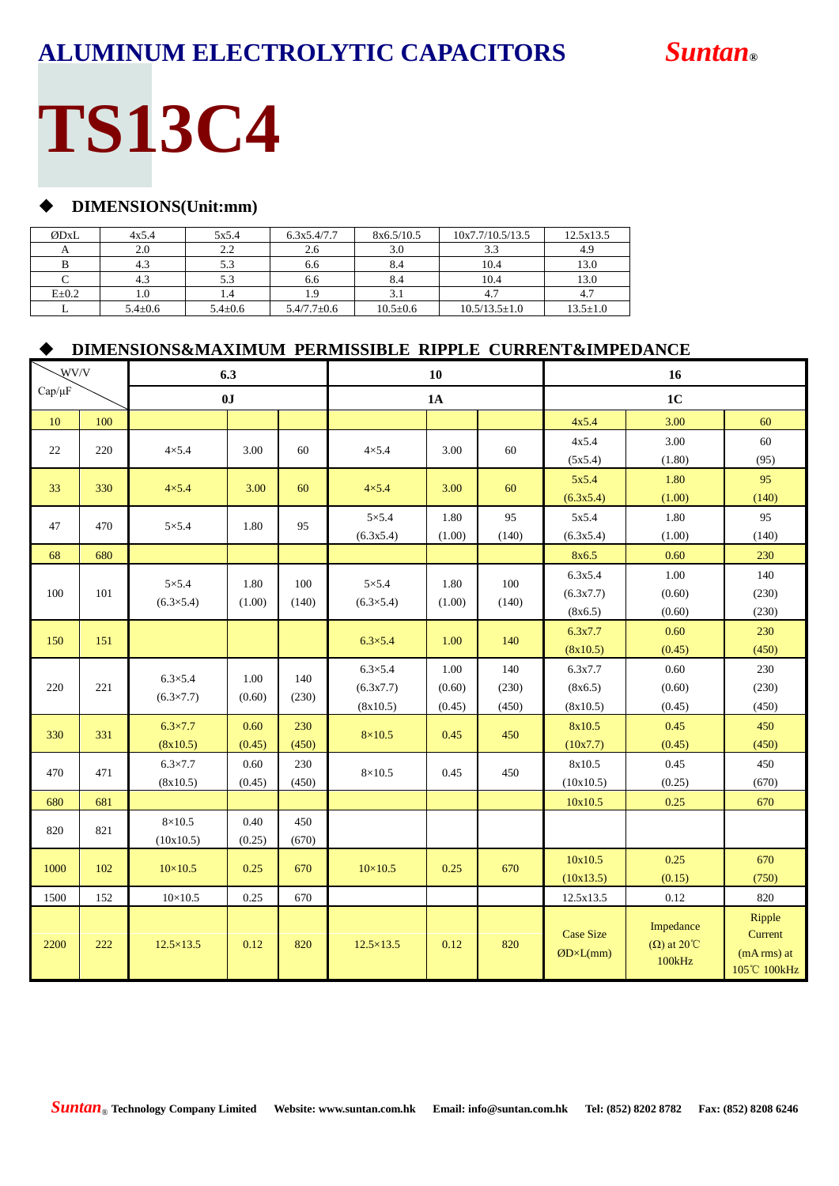# **TS13C4**

### **DIMENSIONS(Unit:mm)**

| ØDxL        | 4x5.4         | 5x5.4         | 6.3x5.4/7.7       | 8x6.5/10.5     | 10x7.7/10.5/13.5    | 12.5x13.5      |
|-------------|---------------|---------------|-------------------|----------------|---------------------|----------------|
|             | 2.0           | 2.2           | 2.6               | 3.0            | 3.3                 | 4.9            |
|             | 4.3           | 5.3           | 6.6               | 8.4            | 10.4                | 13.0           |
|             | 4.3           | 5.3           | 6.6               | 8.4            | 10.4                | 13.0           |
| $E \pm 0.2$ | 1.0           | 1.4           |                   |                |                     |                |
|             | $5.4 \pm 0.6$ | $5.4 \pm 0.6$ | $5.4/7.7 \pm 0.6$ | $10.5 \pm 0.6$ | $10.5/13.5 \pm 1.0$ | $13.5 \pm 1.0$ |

### **DIMENSIONS&MAXIMUM PERMISSIBLE RIPPLE CURRENT&IMPEDANCE**

|             | WV/V<br>6.3 |                                        |                |              | 10                                        |                          | 16                    |                                       |                                           |                                                 |
|-------------|-------------|----------------------------------------|----------------|--------------|-------------------------------------------|--------------------------|-----------------------|---------------------------------------|-------------------------------------------|-------------------------------------------------|
| $Cap/\mu F$ |             |                                        | 0J             |              |                                           | 1A                       |                       |                                       | 1 <sub>C</sub>                            |                                                 |
| 10          | 100         |                                        |                |              |                                           |                          |                       | 4x5.4                                 | 3.00                                      | 60                                              |
| 22          | 220         | $4\times5.4$                           | 3.00           | 60           | $4\times5.4$                              | 3.00                     | 60                    | 4x5.4<br>(5x5.4)                      | 3.00<br>(1.80)                            | 60<br>(95)                                      |
| 33          | 330         | $4\times5.4$                           | 3.00           | 60           | $4\times5.4$                              | 3.00                     | 60                    | 5x5.4<br>(6.3x5.4)                    | 1.80<br>(1.00)                            | 95<br>(140)                                     |
| 47          | 470         | $5 \times 5.4$                         | 1.80           | 95           | $5 \times 5.4$<br>(6.3x5.4)               | 1.80<br>(1.00)           | 95<br>(140)           | 5x5.4<br>(6.3x5.4)                    | 1.80<br>(1.00)                            | 95<br>(140)                                     |
| 68          | 680         |                                        |                |              |                                           |                          |                       | 8x6.5                                 | 0.60                                      | 230                                             |
| 100         | 101         | $5\times5.4$<br>$(6.3 \times 5.4)$     | 1.80<br>(1.00) | 100<br>(140) | $5 \times 5.4$<br>$(6.3 \times 5.4)$      | 1.80<br>(1.00)           | 100<br>(140)          | 6.3x5.4<br>(6.3x7.7)<br>(8x6.5)       | 1.00<br>(0.60)<br>(0.60)                  | 140<br>(230)<br>(230)                           |
| 150         | 151         |                                        |                |              | $6.3 \times 5.4$                          | 1.00                     | 140                   | 6.3x7.7<br>(8x10.5)                   | 0.60<br>(0.45)                            | 230<br>(450)                                    |
| 220         | 221         | $6.3 \times 5.4$<br>$(6.3 \times 7.7)$ | 1.00<br>(0.60) | 140<br>(230) | $6.3 \times 5.4$<br>(6.3x7.7)<br>(8x10.5) | 1.00<br>(0.60)<br>(0.45) | 140<br>(230)<br>(450) | 6.3x7.7<br>(8x6.5)<br>(8x10.5)        | 0.60<br>(0.60)<br>(0.45)                  | 230<br>(230)<br>(450)                           |
| 330         | 331         | $6.3 \times 7.7$<br>(8x10.5)           | 0.60<br>(0.45) | 230<br>(450) | $8\times10.5$                             | 0.45                     | 450                   | 8x10.5<br>(10x7.7)                    | 0.45<br>(0.45)                            | 450<br>(450)                                    |
| 470         | 471         | $6.3 \times 7.7$<br>(8x10.5)           | 0.60<br>(0.45) | 230<br>(450) | $8\times10.5$                             | 0.45                     | 450                   | 8x10.5<br>(10x10.5)                   | 0.45<br>(0.25)                            | 450<br>(670)                                    |
| 680         | 681         |                                        |                |              |                                           |                          |                       | 10x10.5                               | 0.25                                      | 670                                             |
| 820         | 821         | $8\times10.5$<br>(10x10.5)             | 0.40<br>(0.25) | 450<br>(670) |                                           |                          |                       |                                       |                                           |                                                 |
| 1000        | 102         | $10\times10.5$                         | 0.25           | 670          | $10\times10.5$                            | 0.25                     | 670                   | 10x10.5<br>(10x13.5)                  | 0.25<br>(0.15)                            | 670<br>(750)                                    |
| 1500        | 152         | $10\times10.5$                         | 0.25           | 670          |                                           |                          |                       | 12.5x13.5                             | $0.12\,$                                  | 820                                             |
| 2200        | 222         | $12.5 \times 13.5$                     | 0.12           | 820          | $12.5 \times 13.5$                        | 0.12                     | 820                   | <b>Case Size</b><br>$ØD \times L(mm)$ | Impedance<br>$(\Omega)$ at 20°C<br>100kHz | Ripple<br>Current<br>(mA rms) at<br>105℃ 100kHz |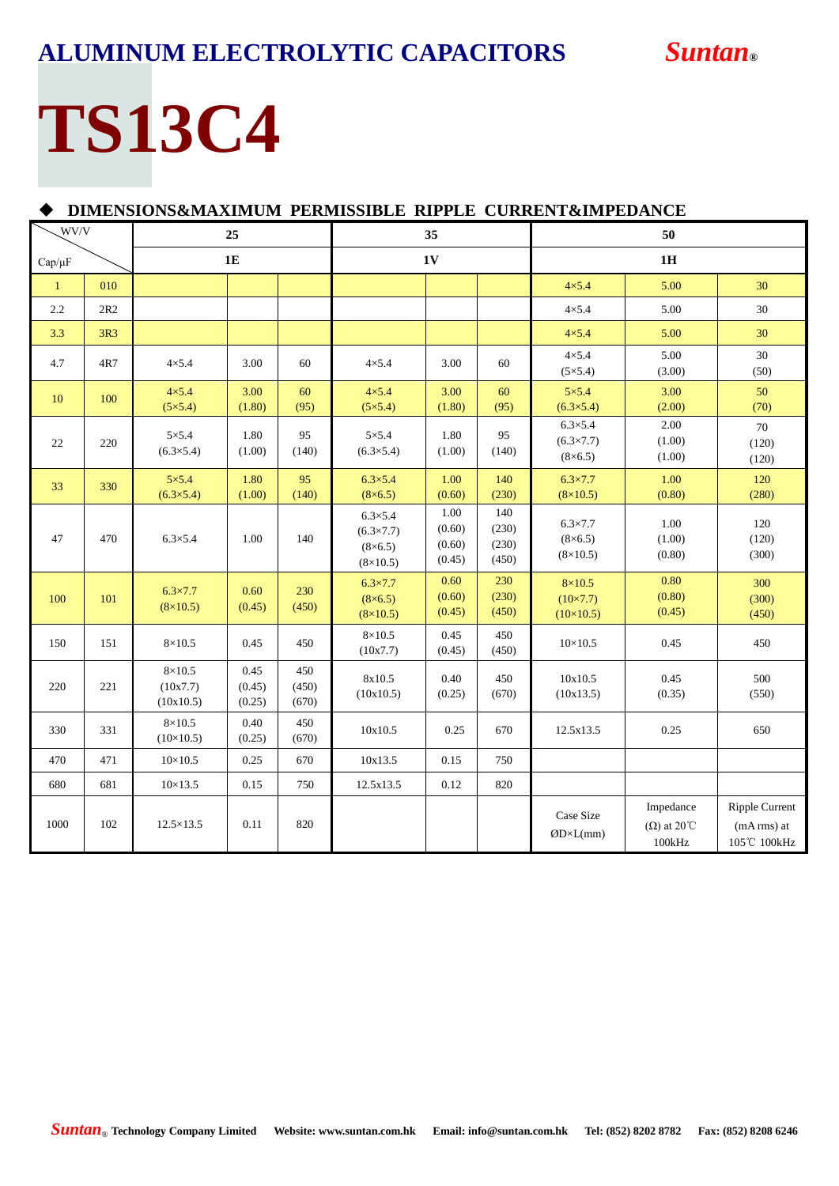# **TS13C4**

|              | DIMENSIONS&MAXIMUM PERMISSIBLE RIPPLE CURRENT&IMPEDANCE |                                        |                          |                       |                                                                               |                                    |                                |                                                          |                                           |                                                       |  |  |
|--------------|---------------------------------------------------------|----------------------------------------|--------------------------|-----------------------|-------------------------------------------------------------------------------|------------------------------------|--------------------------------|----------------------------------------------------------|-------------------------------------------|-------------------------------------------------------|--|--|
| WV/V<br>25   |                                                         |                                        | 35                       |                       |                                                                               | 50                                 |                                |                                                          |                                           |                                                       |  |  |
| $Cap/\mu F$  |                                                         |                                        | <b>1E</b>                |                       | <b>1V</b>                                                                     |                                    |                                | 1H                                                       |                                           |                                                       |  |  |
| $\mathbf{1}$ | 010                                                     |                                        |                          |                       |                                                                               |                                    |                                | $4\times5.4$                                             | 5.00                                      | 30                                                    |  |  |
| 2.2          | 2R2                                                     |                                        |                          |                       |                                                                               |                                    |                                | $4\times5.4$                                             | 5.00                                      | 30                                                    |  |  |
| 3.3          | 3R3                                                     |                                        |                          |                       |                                                                               |                                    |                                | $4\times 5.4$                                            | 5.00                                      | 30                                                    |  |  |
| 4.7          | 4R7                                                     | $4 \times 5.4$                         | 3.00                     | 60                    | $4\times5.4$                                                                  | 3.00                               | 60                             | $4\times5.4$<br>$(5 \times 5.4)$                         | 5.00<br>(3.00)                            | 30<br>(50)                                            |  |  |
| 10           | 100                                                     | $4\times5.4$<br>$(5 \times 5.4)$       | 3.00<br>(1.80)           | 60<br>(95)            | $4\times5.4$<br>$(5 \times 5.4)$                                              | 3.00<br>(1.80)                     | 60<br>(95)                     | $5\times5.4$<br>$(6.3 \times 5.4)$                       | 3.00<br>(2.00)                            | 50<br>(70)                                            |  |  |
| 22           | 220                                                     | $5\times5.4$<br>$(6.3 \times 5.4)$     | 1.80<br>(1.00)           | 95<br>(140)           | $5\times5.4$<br>$(6.3 \times 5.4)$                                            | 1.80<br>(1.00)                     | 95<br>(140)                    | $6.3 \times 5.4$<br>$(6.3 \times 7.7)$<br>$(8\times6.5)$ | 2.00<br>(1.00)<br>(1.00)                  | 70<br>(120)<br>(120)                                  |  |  |
| 33           | 330                                                     | $5\times5.4$<br>$(6.3 \times 5.4)$     | 1.80<br>(1.00)           | 95<br>(140)           | $6.3 \times 5.4$<br>$(8 \times 6.5)$                                          | 1.00<br>(0.60)                     | 140<br>(230)                   | $6.3 \times 7.7$<br>$(8\times10.5)$                      | 1.00<br>(0.80)                            | 120<br>(280)                                          |  |  |
| 47           | 470                                                     | $6.3 \times 5.4$                       | 1.00                     | 140                   | $6.3 \times 5.4$<br>$(6.3 \times 7.7)$<br>$(8 \times 6.5)$<br>$(8\times10.5)$ | 1.00<br>(0.60)<br>(0.60)<br>(0.45) | 140<br>(230)<br>(230)<br>(450) | $6.3 \times 7.7$<br>$(8\times6.5)$<br>$(8\times10.5)$    | 1.00<br>(1.00)<br>(0.80)                  | 120<br>(120)<br>(300)                                 |  |  |
| 100          | 101                                                     | $6.3 \times 7.7$<br>$(8\times10.5)$    | 0.60<br>(0.45)           | 230<br>(450)          | $6.3 \times 7.7$<br>$(8 \times 6.5)$<br>$(8\times10.5)$                       | 0.60<br>(0.60)<br>(0.45)           | 230<br>(230)<br>(450)          | $8\times10.5$<br>$(10 \times 7.7)$<br>$(10\times10.5)$   | 0.80<br>(0.80)<br>(0.45)                  | 300<br>(300)<br>(450)                                 |  |  |
| 150          | 151                                                     | $8\times10.5$                          | 0.45                     | 450                   | $8\times10.5$<br>(10x7.7)                                                     | 0.45<br>(0.45)                     | 450<br>(450)                   | $10 \times 10.5$                                         | 0.45                                      | 450                                                   |  |  |
| 220          | 221                                                     | $8\times10.5$<br>(10x7.7)<br>(10x10.5) | 0.45<br>(0.45)<br>(0.25) | 450<br>(450)<br>(670) | 8x10.5<br>(10x10.5)                                                           | 0.40<br>(0.25)                     | 450<br>(670)                   | 10x10.5<br>(10x13.5)                                     | 0.45<br>(0.35)                            | 500<br>(550)                                          |  |  |
| 330          | 331                                                     | $8\times10.5$<br>$(10\times10.5)$      | 0.40<br>(0.25)           | 450<br>(670)          | 10x10.5                                                                       | 0.25                               | 670                            | 12.5x13.5                                                | 0.25                                      | 650                                                   |  |  |
| 470          | 471                                                     | $10\times10.5$                         | 0.25                     | 670                   | 10x13.5                                                                       | 0.15                               | 750                            |                                                          |                                           |                                                       |  |  |
| 680          | 681                                                     | $10 \times 13.5$                       | 0.15                     | 750                   | 12.5x13.5                                                                     | 0.12                               | 820                            |                                                          |                                           |                                                       |  |  |
| 1000         | 102                                                     | $12.5 \times 13.5$                     | 0.11                     | 820                   |                                                                               |                                    |                                | Case Size<br>$\mathcal{O}D \times L(mm)$                 | Impedance<br>$(\Omega)$ at 20°C<br>100kHz | <b>Ripple Current</b><br>$(mA rms)$ at<br>105℃ 100kHz |  |  |